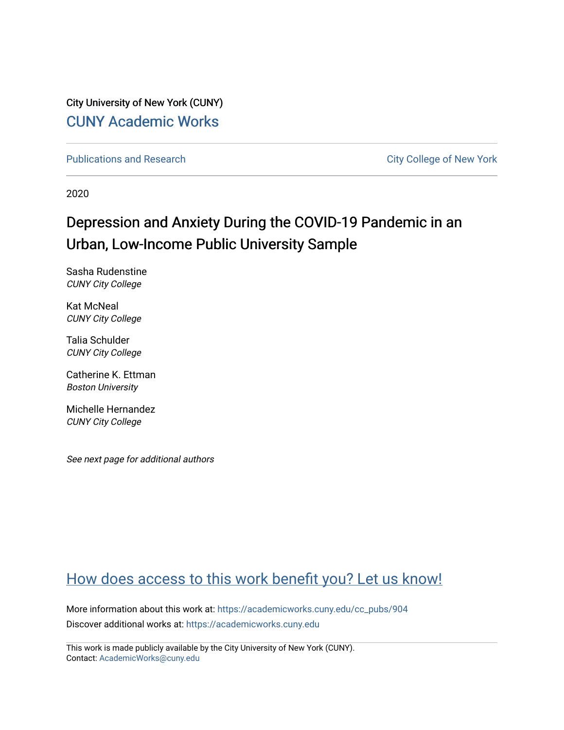City University of New York (CUNY) [CUNY Academic Works](https://academicworks.cuny.edu/) 

[Publications and Research](https://academicworks.cuny.edu/cc_pubs) **City College of New York** Publications and Research

2020

# Depression and Anxiety During the COVID-19 Pandemic in an Urban, Low-Income Public University Sample

Sasha Rudenstine CUNY City College

Kat McNeal CUNY City College

Talia Schulder CUNY City College

Catherine K. Ettman Boston University

Michelle Hernandez CUNY City College

See next page for additional authors

## [How does access to this work benefit you? Let us know!](http://ols.cuny.edu/academicworks/?ref=https://academicworks.cuny.edu/cc_pubs/904)

More information about this work at: [https://academicworks.cuny.edu/cc\\_pubs/904](https://academicworks.cuny.edu/cc_pubs/904)  Discover additional works at: [https://academicworks.cuny.edu](https://academicworks.cuny.edu/?)

This work is made publicly available by the City University of New York (CUNY). Contact: [AcademicWorks@cuny.edu](mailto:AcademicWorks@cuny.edu)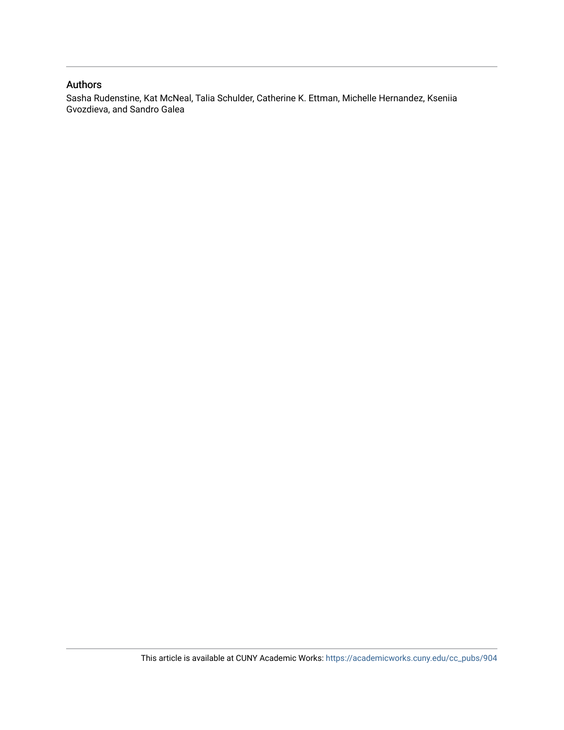## Authors

Sasha Rudenstine, Kat McNeal, Talia Schulder, Catherine K. Ettman, Michelle Hernandez, Kseniia Gvozdieva, and Sandro Galea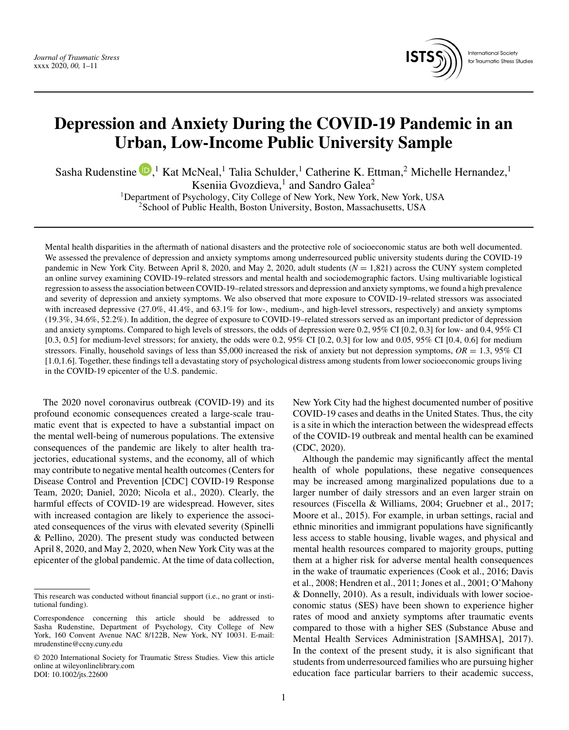

**International Society** for Traumatic Stress Studies

## **Depression and Anxiety During the COVID-19 Pandemic in an Urban, Low-Income Public University Sample**

Sasha Rudenstine  $\mathbf{D}$ [,](https://orcid.org/0000-0002-7659-0874)<sup>1</sup> Kat McNeal,<sup>1</sup> Talia Schulder,<sup>1</sup> Catherine K. Ettman,<sup>2</sup> Michelle Hernandez,<sup>1</sup> Kseniia Gvozdieva,<sup>1</sup> and Sandro Galea<sup>2</sup>

1Department of Psychology, City College of New York, New York, New York, USA <sup>2</sup>School of Public Health, Boston University, Boston, Massachusetts, USA

Mental health disparities in the aftermath of national disasters and the protective role of socioeconomic status are both well documented. We assessed the prevalence of depression and anxiety symptoms among underresourced public university students during the COVID-19 pandemic in New York City. Between April 8, 2020, and May 2, 2020, adult students (*N* = 1,821) across the CUNY system completed an online survey examining COVID-19–related stressors and mental health and sociodemographic factors. Using multivariable logistical regression to assess the association between COVID-19–related stressors and depression and anxiety symptoms, we found a high prevalence and severity of depression and anxiety symptoms. We also observed that more exposure to COVID-19–related stressors was associated with increased depressive (27.0%, 41.4%, and 63.1% for low-, medium-, and high-level stressors, respectively) and anxiety symptoms (19.3%, 34.6%, 52.2%). In addition, the degree of exposure to COVID-19–related stressors served as an important predictor of depression and anxiety symptoms. Compared to high levels of stressors, the odds of depression were 0.2, 95% CI [0.2, 0.3] for low- and 0.4, 95% CI [0.3, 0.5] for medium-level stressors; for anxiety, the odds were 0.2, 95% CI [0.2, 0.3] for low and 0.05, 95% CI [0.4, 0.6] for medium stressors. Finally, household savings of less than \$5,000 increased the risk of anxiety but not depression symptoms,  $OR = 1.3$ , 95% CI [1.0,1.6]. Together, these findings tell a devastating story of psychological distress among students from lower socioeconomic groups living in the COVID-19 epicenter of the U.S. pandemic.

The 2020 novel coronavirus outbreak (COVID-19) and its profound economic consequences created a large-scale traumatic event that is expected to have a substantial impact on the mental well-being of numerous populations. The extensive consequences of the pandemic are likely to alter health trajectories, educational systems, and the economy, all of which may contribute to negative mental health outcomes (Centers for Disease Control and Prevention [CDC] COVID-19 Response Team, 2020; Daniel, 2020; Nicola et al., 2020). Clearly, the harmful effects of COVID-19 are widespread. However, sites with increased contagion are likely to experience the associated consequences of the virus with elevated severity (Spinelli & Pellino, 2020). The present study was conducted between April 8, 2020, and May 2, 2020, when New York City was at the epicenter of the global pandemic. At the time of data collection,

New York City had the highest documented number of positive COVID-19 cases and deaths in the United States. Thus, the city is a site in which the interaction between the widespread effects of the COVID-19 outbreak and mental health can be examined (CDC, 2020).

Although the pandemic may significantly affect the mental health of whole populations, these negative consequences may be increased among marginalized populations due to a larger number of daily stressors and an even larger strain on resources (Fiscella & Williams, 2004; Gruebner et al., 2017; Moore et al., 2015). For example, in urban settings, racial and ethnic minorities and immigrant populations have significantly less access to stable housing, livable wages, and physical and mental health resources compared to majority groups, putting them at a higher risk for adverse mental health consequences in the wake of traumatic experiences (Cook et al., 2016; Davis et al., 2008; Hendren et al., 2011; Jones et al., 2001; O'Mahony & Donnelly, 2010). As a result, individuals with lower socioeconomic status (SES) have been shown to experience higher rates of mood and anxiety symptoms after traumatic events compared to those with a higher SES (Substance Abuse and Mental Health Services Administration [SAMHSA], 2017). In the context of the present study, it is also significant that students from underresourced families who are pursuing higher education face particular barriers to their academic success,

This research was conducted without financial support (i.e., no grant or institutional funding).

Correspondence concerning this article should be addressed to Sasha Rudenstine, Department of Psychology, City College of New York, 160 Convent Avenue NAC 8/122B, New York, NY 10031. E-mail: mrudenstine@ccny.cuny.edu

<sup>© 2020</sup> International Society for Traumatic Stress Studies. View this article online at wileyonlinelibrary.com DOI: 10.1002/jts.22600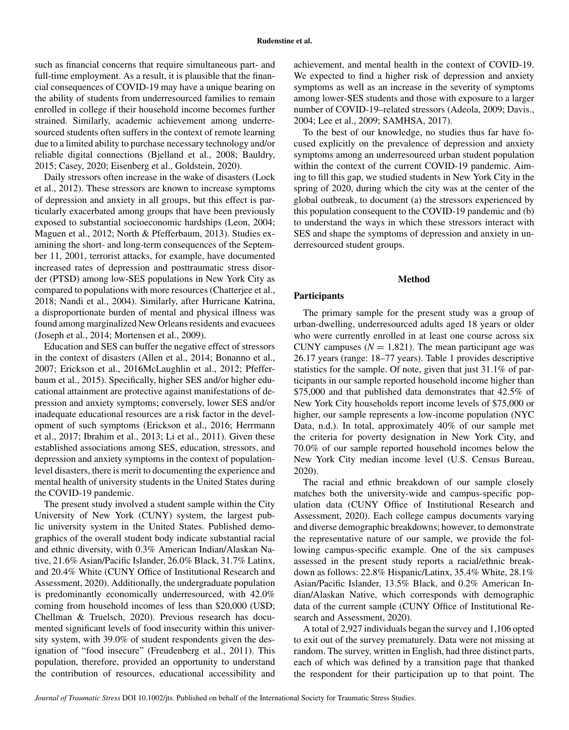such as financial concerns that require simultaneous part- and full-time employment. As a result, it is plausible that the financial consequences of COVID-19 may have a unique bearing on the ability of students from underresourced families to remain enrolled in college if their household income becomes further strained. Similarly, academic achievement among underresourced students often suffers in the context of remote learning due to a limited ability to purchase necessary technology and/or reliable digital connections (Bjelland et al., 2008; Bauldry, 2015; Casey, 2020; Eisenberg et al., Goldstein, 2020).

Daily stressors often increase in the wake of disasters (Lock et al., 2012). These stressors are known to increase symptoms of depression and anxiety in all groups, but this effect is particularly exacerbated among groups that have been previously exposed to substantial socioeconomic hardships (Leon, 2004; Maguen et al., 2012; North & Pfefferbaum, 2013). Studies examining the short- and long-term consequences of the September 11, 2001, terrorist attacks, for example, have documented increased rates of depression and posttraumatic stress disorder (PTSD) among low-SES populations in New York City as compared to populations with more resources (Chatterjee et al., 2018; Nandi et al., 2004). Similarly, after Hurricane Katrina, a disproportionate burden of mental and physical illness was found among marginalized New Orleans residents and evacuees (Joseph et al., 2014; Mortensen et al., 2009).

Education and SES can buffer the negative effect of stressors in the context of disasters (Allen et al., 2014; Bonanno et al., 2007; Erickson et al., 2016McLaughlin et al., 2012; Pfefferbaum et al., 2015). Specifically, higher SES and/or higher educational attainment are protective against manifestations of depression and anxiety symptoms; conversely, lower SES and/or inadequate educational resources are a risk factor in the development of such symptoms (Erickson et al., 2016; Herrmann et al., 2017; Ibrahim et al., 2013; Li et al., 2011). Given these established associations among SES, education, stressors, and depression and anxiety symptoms in the context of populationlevel disasters, there is merit to documenting the experience and mental health of university students in the United States during the COVID-19 pandemic.

The present study involved a student sample within the City University of New York (CUNY) system, the largest public university system in the United States. Published demographics of the overall student body indicate substantial racial and ethnic diversity, with 0.3% American Indian/Alaskan Native, 21.6% Asian/Pacific Islander, 26.0% Black, 31.7% Latinx, and 20.4% White (CUNY Office of Institutional Research and Assessment, 2020). Additionally, the undergraduate population is predominantly economically underresourced, with 42.0% coming from household incomes of less than \$20,000 (USD; Chellman & Truelsch, 2020). Previous research has documented significant levels of food insecurity within this university system, with 39.0% of student respondents given the designation of "food insecure" (Freudenberg et al., 2011). This population, therefore, provided an opportunity to understand the contribution of resources, educational accessibility and

achievement, and mental health in the context of COVID-19. We expected to find a higher risk of depression and anxiety symptoms as well as an increase in the severity of symptoms among lower-SES students and those with exposure to a larger number of COVID-19–related stressors (Adeola, 2009; Davis., 2004; Lee et al., 2009; SAMHSA, 2017).

To the best of our knowledge, no studies thus far have focused explicitly on the prevalence of depression and anxiety symptoms among an underresourced urban student population within the context of the current COVID-19 pandemic. Aiming to fill this gap, we studied students in New York City in the spring of 2020, during which the city was at the center of the global outbreak, to document (a) the stressors experienced by this population consequent to the COVID-19 pandemic and (b) to understand the ways in which these stressors interact with SES and shape the symptoms of depression and anxiety in underresourced student groups.

### **Method**

## **Participants**

The primary sample for the present study was a group of urban-dwelling, underresourced adults aged 18 years or older who were currently enrolled in at least one course across six CUNY campuses  $(N = 1,821)$ . The mean participant age was 26.17 years (range: 18–77 years). Table 1 provides descriptive statistics for the sample. Of note, given that just 31.1% of participants in our sample reported household income higher than \$75,000 and that published data demonstrates that 42.5% of New York City households report income levels of \$75,000 or higher, our sample represents a low-income population (NYC Data, n.d.). In total, approximately 40% of our sample met the criteria for poverty designation in New York City, and 70.0% of our sample reported household incomes below the New York City median income level (U.S. Census Bureau, 2020).

The racial and ethnic breakdown of our sample closely matches both the university-wide and campus-specific population data (CUNY Office of Institutional Research and Assessment, 2020). Each college campus documents varying and diverse demographic breakdowns; however, to demonstrate the representative nature of our sample, we provide the following campus-specific example. One of the six campuses assessed in the present study reports a racial/ethnic breakdown as follows: 22.8% Hispanic/Latinx, 35.4% White, 28.1% Asian/Pacific Islander, 13.5% Black, and 0.2% American Indian/Alaskan Native, which corresponds with demographic data of the current sample (CUNY Office of Institutional Research and Assessment, 2020).

A total of 2,927 individuals began the survey and 1,106 opted to exit out of the survey prematurely. Data were not missing at random. The survey, written in English, had three distinct parts, each of which was defined by a transition page that thanked the respondent for their participation up to that point. The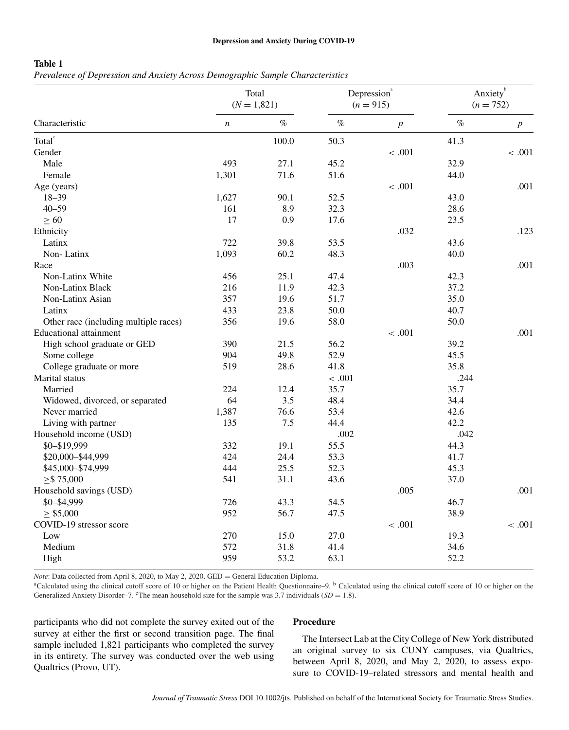#### **Depression and Anxiety During COVID-19**

## **Table 1**

*Prevalence of Depression and Anxiety Across Demographic Sample Characteristics*

| Characteristic                        | Total<br>$(N = 1,821)$ |       | Depression <sup>a</sup><br>$(n = 915)$ |                  | Anxietyb<br>$(n = 752)$ |                  |
|---------------------------------------|------------------------|-------|----------------------------------------|------------------|-------------------------|------------------|
|                                       | $\boldsymbol{n}$       | $\%$  | $\%$                                   | $\boldsymbol{p}$ | $\%$                    | $\boldsymbol{p}$ |
| Total <sup>c</sup>                    |                        | 100.0 | 50.3                                   |                  | 41.3                    |                  |
| Gender                                |                        |       |                                        | < .001           |                         | < .001           |
| Male                                  | 493                    | 27.1  | 45.2                                   |                  | 32.9                    |                  |
| Female                                | 1,301                  | 71.6  | 51.6                                   |                  | 44.0                    |                  |
| Age (years)                           |                        |       |                                        | < .001           |                         | .001             |
| $18 - 39$                             | 1,627                  | 90.1  | 52.5                                   |                  | 43.0                    |                  |
| $40 - 59$                             | 161                    | 8.9   | 32.3                                   |                  | 28.6                    |                  |
| $\geq 60$                             | 17                     | 0.9   | 17.6                                   |                  | 23.5                    |                  |
| Ethnicity                             |                        |       |                                        | .032             |                         | .123             |
| Latinx                                | 722                    | 39.8  | 53.5                                   |                  | 43.6                    |                  |
| Non-Latinx                            | 1,093                  | 60.2  | 48.3                                   |                  | 40.0                    |                  |
| Race                                  |                        |       |                                        | .003             |                         | .001             |
| Non-Latinx White                      | 456                    | 25.1  | 47.4                                   |                  | 42.3                    |                  |
| Non-Latinx Black                      | 216                    | 11.9  | 42.3                                   |                  | 37.2                    |                  |
| Non-Latinx Asian                      | 357                    | 19.6  | 51.7                                   |                  | 35.0                    |                  |
| Latinx                                | 433                    | 23.8  | 50.0                                   |                  | 40.7                    |                  |
| Other race (including multiple races) | 356                    | 19.6  | 58.0                                   |                  | 50.0                    |                  |
| <b>Educational attainment</b>         |                        |       |                                        | < .001           |                         | .001             |
| High school graduate or GED           | 390                    | 21.5  | 56.2                                   |                  | 39.2                    |                  |
| Some college                          | 904                    | 49.8  | 52.9                                   |                  | 45.5                    |                  |
| College graduate or more              | 519                    | 28.6  | 41.8                                   |                  | 35.8                    |                  |
| Marital status                        |                        |       | < .001                                 |                  | .244                    |                  |
| Married                               | 224                    | 12.4  | 35.7                                   |                  | 35.7                    |                  |
| Widowed, divorced, or separated       | 64                     | 3.5   | 48.4                                   |                  | 34.4                    |                  |
| Never married                         | 1,387                  | 76.6  | 53.4                                   |                  | 42.6                    |                  |
| Living with partner                   | 135                    | 7.5   | 44.4                                   |                  | 42.2                    |                  |
| Household income (USD)                |                        |       | .002                                   |                  | .042                    |                  |
| \$0-\$19,999                          | 332                    | 19.1  | 55.5                                   |                  | 44.3                    |                  |
| \$20,000-\$44,999                     | 424                    | 24.4  | 53.3                                   |                  | 41.7                    |                  |
| \$45,000-\$74,999                     | 444                    | 25.5  | 52.3                                   |                  | 45.3                    |                  |
| $\geq$ \$75,000                       | 541                    | 31.1  | 43.6                                   |                  | 37.0                    |                  |
| Household savings (USD)               |                        |       |                                        | .005             |                         | .001             |
| \$0-\$4,999                           | 726                    | 43.3  | 54.5                                   |                  | 46.7                    |                  |
| $\geq$ \$5,000                        | 952                    | 56.7  | 47.5                                   |                  | 38.9                    |                  |
| COVID-19 stressor score               |                        |       |                                        | < .001           |                         | < .001           |
| Low                                   | 270                    | 15.0  | 27.0                                   |                  | 19.3                    |                  |
| Medium                                | 572                    | 31.8  | 41.4                                   |                  | 34.6                    |                  |
| High                                  | 959                    | 53.2  | 63.1                                   |                  | 52.2                    |                  |

*Note*: Data collected from April 8, 2020, to May 2, 2020. GED = General Education Diploma.<br><sup>a</sup>Calculated using the clinical cutoff score of 10 or higher on the Patient Health Questionnaire–9. <sup>b</sup> Calculated using the cli Generalized Anxiety Disorder–7. <sup>c</sup>The mean household size for the sample was 3.7 individuals (*SD* = 1.8).

participants who did not complete the survey exited out of the survey at either the first or second transition page. The final sample included 1,821 participants who completed the survey in its entirety. The survey was conducted over the web using Qualtrics (Provo, UT).

## **Procedure**

The Intersect Lab at the City College of New York distributed an original survey to six CUNY campuses, via Qualtrics, between April 8, 2020, and May 2, 2020, to assess exposure to COVID-19–related stressors and mental health and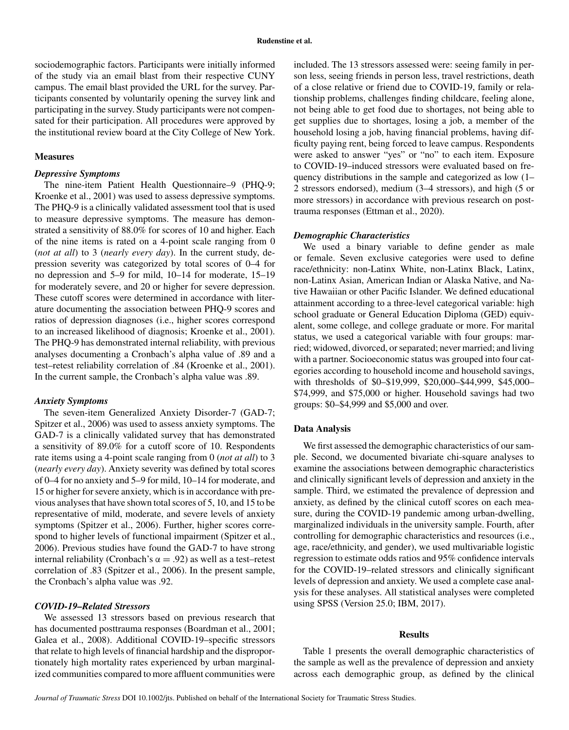sociodemographic factors. Participants were initially informed of the study via an email blast from their respective CUNY campus. The email blast provided the URL for the survey. Participants consented by voluntarily opening the survey link and participating in the survey. Study participants were not compensated for their participation. All procedures were approved by the institutional review board at the City College of New York.

#### **Measures**

#### *Depressive Symptoms*

The nine-item Patient Health Questionnaire–9 (PHQ-9; Kroenke et al., 2001) was used to assess depressive symptoms. The PHQ-9 is a clinically validated assessment tool that is used to measure depressive symptoms. The measure has demonstrated a sensitivity of 88.0% for scores of 10 and higher. Each of the nine items is rated on a 4-point scale ranging from 0 (*not at all*) to 3 (*nearly every day*). In the current study, depression severity was categorized by total scores of 0–4 for no depression and 5–9 for mild, 10–14 for moderate, 15–19 for moderately severe, and 20 or higher for severe depression. These cutoff scores were determined in accordance with literature documenting the association between PHQ-9 scores and ratios of depression diagnoses (i.e., higher scores correspond to an increased likelihood of diagnosis; Kroenke et al., 2001). The PHQ-9 has demonstrated internal reliability, with previous analyses documenting a Cronbach's alpha value of .89 and a test–retest reliability correlation of .84 (Kroenke et al., 2001). In the current sample, the Cronbach's alpha value was .89.

#### *Anxiety Symptoms*

The seven-item Generalized Anxiety Disorder-7 (GAD-7; Spitzer et al., 2006) was used to assess anxiety symptoms. The GAD-7 is a clinically validated survey that has demonstrated a sensitivity of 89.0% for a cutoff score of 10. Respondents rate items using a 4-point scale ranging from 0 (*not at all*) to 3 (*nearly every day*). Anxiety severity was defined by total scores of 0–4 for no anxiety and 5–9 for mild, 10–14 for moderate, and 15 or higher for severe anxiety, which is in accordance with previous analyses that have shown total scores of 5, 10, and 15 to be representative of mild, moderate, and severe levels of anxiety symptoms (Spitzer et al., 2006). Further, higher scores correspond to higher levels of functional impairment (Spitzer et al., 2006). Previous studies have found the GAD-7 to have strong internal reliability (Cronbach's  $\alpha = .92$ ) as well as a test–retest correlation of .83 (Spitzer et al., 2006). In the present sample, the Cronbach's alpha value was .92.

### *COVID-19–Related Stressors*

We assessed 13 stressors based on previous research that has documented posttrauma responses (Boardman et al., 2001; Galea et al., 2008). Additional COVID-19–specific stressors that relate to high levels of financial hardship and the disproportionately high mortality rates experienced by urban marginalized communities compared to more affluent communities were included. The 13 stressors assessed were: seeing family in person less, seeing friends in person less, travel restrictions, death of a close relative or friend due to COVID-19, family or relationship problems, challenges finding childcare, feeling alone, not being able to get food due to shortages, not being able to get supplies due to shortages, losing a job, a member of the household losing a job, having financial problems, having difficulty paying rent, being forced to leave campus. Respondents were asked to answer "yes" or "no" to each item. Exposure to COVID-19–induced stressors were evaluated based on frequency distributions in the sample and categorized as low (1– 2 stressors endorsed), medium (3–4 stressors), and high (5 or more stressors) in accordance with previous research on posttrauma responses (Ettman et al., 2020).

#### *Demographic Characteristics*

We used a binary variable to define gender as male or female. Seven exclusive categories were used to define race/ethnicity: non-Latinx White, non-Latinx Black, Latinx, non-Latinx Asian, American Indian or Alaska Native, and Native Hawaiian or other Pacific Islander. We defined educational attainment according to a three-level categorical variable: high school graduate or General Education Diploma (GED) equivalent, some college, and college graduate or more. For marital status, we used a categorical variable with four groups: married; widowed, divorced, or separated; never married; and living with a partner. Socioeconomic status was grouped into four categories according to household income and household savings, with thresholds of \$0–\$19,999, \$20,000–\$44,999, \$45,000– \$74,999, and \$75,000 or higher. Household savings had two groups: \$0–\$4,999 and \$5,000 and over.

#### **Data Analysis**

We first assessed the demographic characteristics of our sample. Second, we documented bivariate chi-square analyses to examine the associations between demographic characteristics and clinically significant levels of depression and anxiety in the sample. Third, we estimated the prevalence of depression and anxiety, as defined by the clinical cutoff scores on each measure, during the COVID-19 pandemic among urban-dwelling, marginalized individuals in the university sample. Fourth, after controlling for demographic characteristics and resources (i.e., age, race/ethnicity, and gender), we used multivariable logistic regression to estimate odds ratios and 95% confidence intervals for the COVID-19–related stressors and clinically significant levels of depression and anxiety. We used a complete case analysis for these analyses. All statistical analyses were completed using SPSS (Version 25.0; IBM, 2017).

#### **Results**

Table 1 presents the overall demographic characteristics of the sample as well as the prevalence of depression and anxiety across each demographic group, as defined by the clinical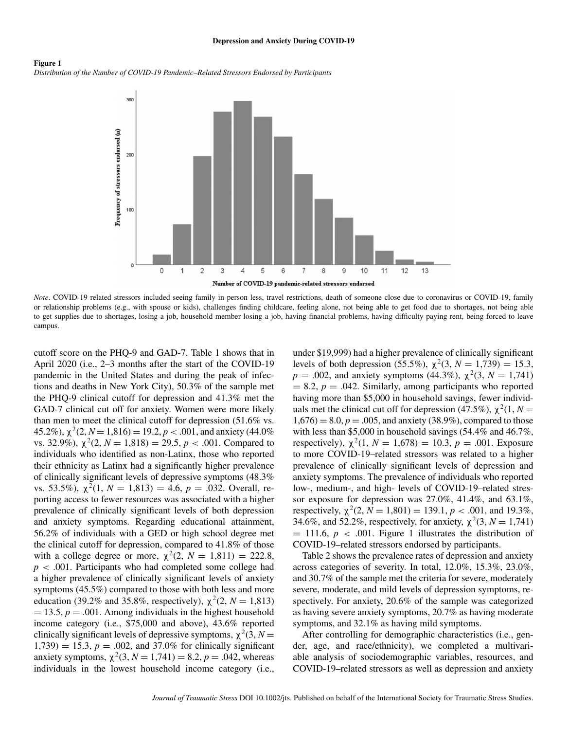#### **Depression and Anxiety During COVID-19**

#### **Figure 1** *Distribution of the Number of COVID-19 Pandemic–Related Stressors Endorsed by Participants*



*Note*. COVID-19 related stressors included seeing family in person less, travel restrictions, death of someone close due to coronavirus or COVID-19, family or relationship problems (e.g., with spouse or kids), challenges finding childcare, feeling alone, not being able to get food due to shortages, not being able to get supplies due to shortages, losing a job, household member losing a job, having financial problems, having difficulty paying rent, being forced to leave campus.

cutoff score on the PHQ-9 and GAD-7. Table 1 shows that in April 2020 (i.e., 2–3 months after the start of the COVID-19 pandemic in the United States and during the peak of infections and deaths in New York City), 50.3% of the sample met the PHQ-9 clinical cutoff for depression and 41.3% met the GAD-7 clinical cut off for anxiety. Women were more likely than men to meet the clinical cutoff for depression (51.6% vs. 45.2%),  $\chi^2(2, N=1,816) = 19.2, p < .001$ , and anxiety (44.0%) vs. 32.9%),  $\chi^2(2, N = 1,818) = 29.5, p < .001$ . Compared to individuals who identified as non-Latinx, those who reported their ethnicity as Latinx had a significantly higher prevalence of clinically significant levels of depressive symptoms (48.3% vs. 53.5%),  $\chi^2(1, N = 1,813) = 4.6$ ,  $p = .032$ . Overall, reporting access to fewer resources was associated with a higher prevalence of clinically significant levels of both depression and anxiety symptoms. Regarding educational attainment, 56.2% of individuals with a GED or high school degree met the clinical cutoff for depression, compared to 41.8% of those with a college degree or more,  $\chi^2(2, N = 1,811) = 222.8$ , *p <* .001. Participants who had completed some college had a higher prevalence of clinically significant levels of anxiety symptoms (45.5%) compared to those with both less and more education (39.2% and 35.8%, respectively),  $\chi^2(2, N = 1,813)$  $= 13.5, p = .001$ . Among individuals in the highest household income category (i.e., \$75,000 and above), 43.6% reported clinically significant levels of depressive symptoms,  $\chi^2(3, N =$  $1,739$  = 15.3,  $p = .002$ , and 37.0% for clinically significant anxiety symptoms,  $\chi^2(3, N = 1,741) = 8.2, p = .042$ , whereas individuals in the lowest household income category (i.e., under \$19,999) had a higher prevalence of clinically significant levels of both depression (55.5%),  $\chi^2$ (3, *N* = 1,739) = 15.3, *p* = .002, and anxiety symptoms (44.3%),  $\chi^2$ (3, *N* = 1,741)  $= 8.2, p = .042$ . Similarly, among participants who reported having more than \$5,000 in household savings, fewer individuals met the clinical cut off for depression (47.5%),  $\chi^2(1, N =$  $1,676$  = 8.0,  $p = .005$ , and anxiety (38.9%), compared to those with less than \$5,000 in household savings (54.4% and 46.7%, respectively),  $\chi^2(1, N = 1,678) = 10.3$ ,  $p = .001$ . Exposure to more COVID-19–related stressors was related to a higher prevalence of clinically significant levels of depression and anxiety symptoms. The prevalence of individuals who reported low-, medium-, and high- levels of COVID-19–related stressor exposure for depression was 27.0%, 41.4%, and 63.1%, respectively,  $\chi^2(2, N = 1,801) = 139.1, p < .001$ , and 19.3%, 34.6%, and 52.2%, respectively, for anxiety,  $\chi^2(3, N = 1,741)$  $= 111.6, p < .001$ . Figure 1 illustrates the distribution of COVID-19–related stressors endorsed by participants.

Table 2 shows the prevalence rates of depression and anxiety across categories of severity. In total, 12.0%, 15.3%, 23.0%, and 30.7% of the sample met the criteria for severe, moderately severe, moderate, and mild levels of depression symptoms, respectively. For anxiety, 20.6% of the sample was categorized as having severe anxiety symptoms, 20.7% as having moderate symptoms, and 32.1% as having mild symptoms.

After controlling for demographic characteristics (i.e., gender, age, and race/ethnicity), we completed a multivariable analysis of sociodemographic variables, resources, and COVID-19–related stressors as well as depression and anxiety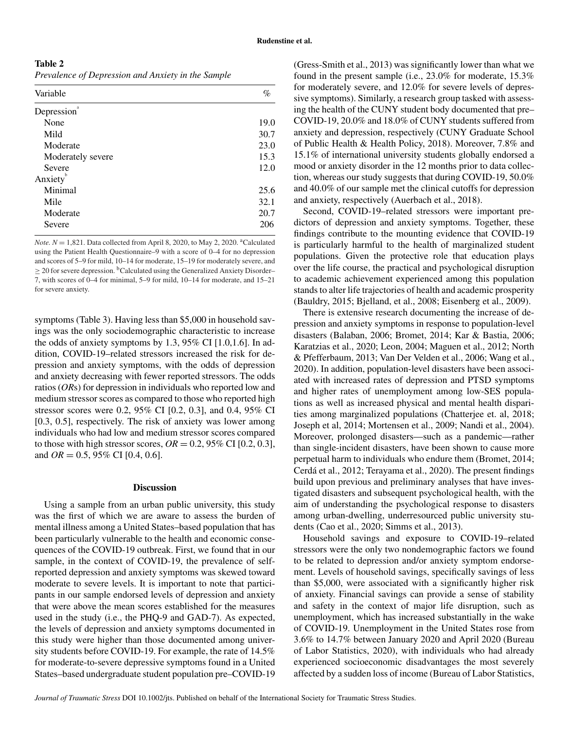**Table 2**

*Prevalence of Depression and Anxiety in the Sample*

| Variable          | %    |
|-------------------|------|
| Depression        |      |
| None              | 19.0 |
| Mild              | 30.7 |
| Moderate          | 23.0 |
| Moderately severe | 15.3 |
| Severe            | 12.0 |
| Anxiety           |      |
| Minimal           | 25.6 |
| Mile              | 32.1 |
| Moderate          | 20.7 |
| Severe            | 206  |

*Note.*  $N = 1,821$ . Data collected from April 8, 2020, to May 2, 2020. <sup>a</sup>Calculated using the Patient Health Questionnaire–9 with a score of 0–4 for no depression and scores of 5–9 for mild, 10–14 for moderate, 15–19 for moderately severe, and  $\geq$  20 for severe depression. <sup>b</sup>Calculated using the Generalized Anxiety Disorder– 7, with scores of 0–4 for minimal, 5–9 for mild, 10–14 for moderate, and 15–21 for severe anxiety.

symptoms (Table 3). Having less than \$5,000 in household savings was the only sociodemographic characteristic to increase the odds of anxiety symptoms by 1.3, 95% CI  $[1.0, 1.6]$ . In addition, COVID-19–related stressors increased the risk for depression and anxiety symptoms, with the odds of depression and anxiety decreasing with fewer reported stressors. The odds ratios (*OR*s) for depression in individuals who reported low and medium stressor scores as compared to those who reported high stressor scores were 0.2, 95% CI [0.2, 0.3], and 0.4, 95% CI [0.3, 0.5], respectively. The risk of anxiety was lower among individuals who had low and medium stressor scores compared to those with high stressor scores,  $OR = 0.2$ , 95% CI [0.2, 0.3], and *OR* = 0.5, 95% CI [0.4, 0.6].

#### **Discussion**

Using a sample from an urban public university, this study was the first of which we are aware to assess the burden of mental illness among a United States–based population that has been particularly vulnerable to the health and economic consequences of the COVID-19 outbreak. First, we found that in our sample, in the context of COVID-19, the prevalence of selfreported depression and anxiety symptoms was skewed toward moderate to severe levels. It is important to note that participants in our sample endorsed levels of depression and anxiety that were above the mean scores established for the measures used in the study (i.e., the PHQ-9 and GAD-7). As expected, the levels of depression and anxiety symptoms documented in this study were higher than those documented among university students before COVID-19. For example, the rate of 14.5% for moderate-to-severe depressive symptoms found in a United States–based undergraduate student population pre–COVID-19 (Gress-Smith et al., 2013) was significantly lower than what we found in the present sample (i.e., 23.0% for moderate, 15.3% for moderately severe, and 12.0% for severe levels of depressive symptoms). Similarly, a research group tasked with assessing the health of the CUNY student body documented that pre– COVID-19, 20.0% and 18.0% of CUNY students suffered from anxiety and depression, respectively (CUNY Graduate School of Public Health & Health Policy, 2018). Moreover, 7.8% and 15.1% of international university students globally endorsed a mood or anxiety disorder in the 12 months prior to data collection, whereas our study suggests that during COVID-19, 50.0% and 40.0% of our sample met the clinical cutoffs for depression and anxiety, respectively (Auerbach et al., 2018).

Second, COVID-19–related stressors were important predictors of depression and anxiety symptoms. Together, these findings contribute to the mounting evidence that COVID-19 is particularly harmful to the health of marginalized student populations. Given the protective role that education plays over the life course, the practical and psychological disruption to academic achievement experienced among this population stands to alter life trajectories of health and academic prosperity (Bauldry, 2015; Bjelland, et al., 2008; Eisenberg et al., 2009).

There is extensive research documenting the increase of depression and anxiety symptoms in response to population-level disasters (Balaban, 2006; Bromet, 2014; Kar & Bastia, 2006; Karatzias et al., 2020; Leon, 2004; Maguen et al., 2012; North & Pfefferbaum, 2013; Van Der Velden et al., 2006; Wang et al., 2020). In addition, population-level disasters have been associated with increased rates of depression and PTSD symptoms and higher rates of unemployment among low-SES populations as well as increased physical and mental health disparities among marginalized populations (Chatterjee et. al, 2018; Joseph et al, 2014; Mortensen et al., 2009; Nandi et al., 2004). Moreover, prolonged disasters—such as a pandemic—rather than single-incident disasters, have been shown to cause more perpetual harm to individuals who endure them (Bromet, 2014; Cerdá et al., 2012; Terayama et al., 2020). The present findings build upon previous and preliminary analyses that have investigated disasters and subsequent psychological health, with the aim of understanding the psychological response to disasters among urban-dwelling, underresourced public university students (Cao et al., 2020; Simms et al., 2013).

Household savings and exposure to COVID-19–related stressors were the only two nondemographic factors we found to be related to depression and/or anxiety symptom endorsement. Levels of household savings, specifically savings of less than \$5,000, were associated with a significantly higher risk of anxiety. Financial savings can provide a sense of stability and safety in the context of major life disruption, such as unemployment, which has increased substantially in the wake of COVID-19. Unemployment in the United States rose from 3.6% to 14.7% between January 2020 and April 2020 (Bureau of Labor Statistics, 2020), with individuals who had already experienced socioeconomic disadvantages the most severely affected by a sudden loss of income (Bureau of Labor Statistics,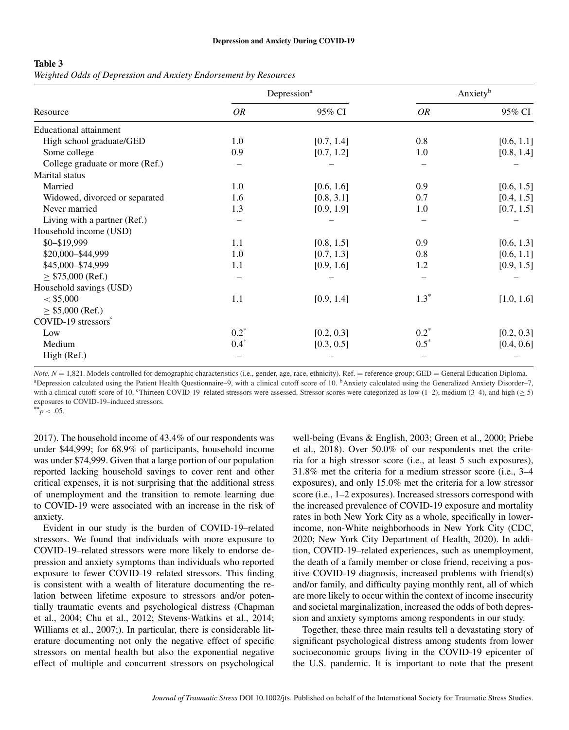#### **Table 3**

*Weighted Odds of Depression and Anxiety Endorsement by Resources*

| Resource                        |         | Depression <sup>a</sup> |         | Anxiety <sup>b</sup> |
|---------------------------------|---------|-------------------------|---------|----------------------|
|                                 | OR      | 95% CI                  | OR      | 95% CI               |
| <b>Educational attainment</b>   |         |                         |         |                      |
| High school graduate/GED        | 1.0     | [0.7, 1.4]              | 0.8     | [0.6, 1.1]           |
| Some college                    | 0.9     | [0.7, 1.2]              | 1.0     | [0.8, 1.4]           |
| College graduate or more (Ref.) |         |                         |         |                      |
| Marital status                  |         |                         |         |                      |
| Married                         | 1.0     | [0.6, 1.6]              | 0.9     | [0.6, 1.5]           |
| Widowed, divorced or separated  | 1.6     | [0.8, 3.1]              | 0.7     | [0.4, 1.5]           |
| Never married                   | 1.3     | [0.9, 1.9]              | 1.0     | [0.7, 1.5]           |
| Living with a partner (Ref.)    |         |                         |         |                      |
| Household income (USD)          |         |                         |         |                      |
| \$0-\$19,999                    | 1.1     | [0.8, 1.5]              | 0.9     | [0.6, 1.3]           |
| \$20,000-\$44,999               | 1.0     | [0.7, 1.3]              | 0.8     | [0.6, 1.1]           |
| \$45,000-\$74,999               | 1.1     | [0.9, 1.6]              | 1.2     | [0.9, 1.5]           |
| $\geq$ \$75,000 (Ref.)          |         |                         |         |                      |
| Household savings (USD)         |         |                         |         |                      |
| $<$ \$5,000                     | 1.1     | [0.9, 1.4]              | $1.3^*$ | [1.0, 1.6]           |
| $\geq$ \$5,000 (Ref.)           |         |                         |         |                      |
| COVID-19 stressors <sup>°</sup> |         |                         |         |                      |
| Low                             | $0.2^*$ | [0.2, 0.3]              | $0.2^*$ | [0.2, 0.3]           |
| Medium                          | $0.4*$  | [0.3, 0.5]              | $0.5^*$ | [0.4, 0.6]           |
| High (Ref.)                     |         |                         |         |                      |

*Note.*  $N = 1,821$ . Models controlled for demographic characteristics (i.e., gender, age, race, ethnicity). Ref. = reference group; GED = General Education Diploma.<br><sup>a</sup> Depression calculated using the Patient Health Quest with a clinical cutoff score of 10. cThirteen COVID-19–related stressors were assessed. Stressor scores were categorized as low (1–2), medium (3–4), and high ( $\geq 5$ ) exposures to COVID-19–induced stressors.

 $*^*$ *p* < .05.

2017). The household income of 43.4% of our respondents was under \$44,999; for 68.9% of participants, household income was under \$74,999. Given that a large portion of our population reported lacking household savings to cover rent and other critical expenses, it is not surprising that the additional stress of unemployment and the transition to remote learning due to COVID-19 were associated with an increase in the risk of anxiety.

Evident in our study is the burden of COVID-19–related stressors. We found that individuals with more exposure to COVID-19–related stressors were more likely to endorse depression and anxiety symptoms than individuals who reported exposure to fewer COVID-19–related stressors. This finding is consistent with a wealth of literature documenting the relation between lifetime exposure to stressors and/or potentially traumatic events and psychological distress (Chapman et al., 2004; Chu et al., 2012; Stevens-Watkins et al., 2014; Williams et al., 2007;). In particular, there is considerable literature documenting not only the negative effect of specific stressors on mental health but also the exponential negative effect of multiple and concurrent stressors on psychological

well-being (Evans & English, 2003; Green et al., 2000; Priebe et al., 2018). Over 50.0% of our respondents met the criteria for a high stressor score (i.e., at least 5 such exposures), 31.8% met the criteria for a medium stressor score (i.e., 3–4 exposures), and only 15.0% met the criteria for a low stressor score (i.e., 1–2 exposures). Increased stressors correspond with the increased prevalence of COVID-19 exposure and mortality rates in both New York City as a whole, specifically in lowerincome, non-White neighborhoods in New York City (CDC, 2020; New York City Department of Health, 2020). In addition, COVID-19–related experiences, such as unemployment, the death of a family member or close friend, receiving a positive COVID-19 diagnosis, increased problems with friend(s) and/or family, and difficulty paying monthly rent, all of which are more likely to occur within the context of income insecurity and societal marginalization, increased the odds of both depression and anxiety symptoms among respondents in our study.

Together, these three main results tell a devastating story of significant psychological distress among students from lower socioeconomic groups living in the COVID-19 epicenter of the U.S. pandemic. It is important to note that the present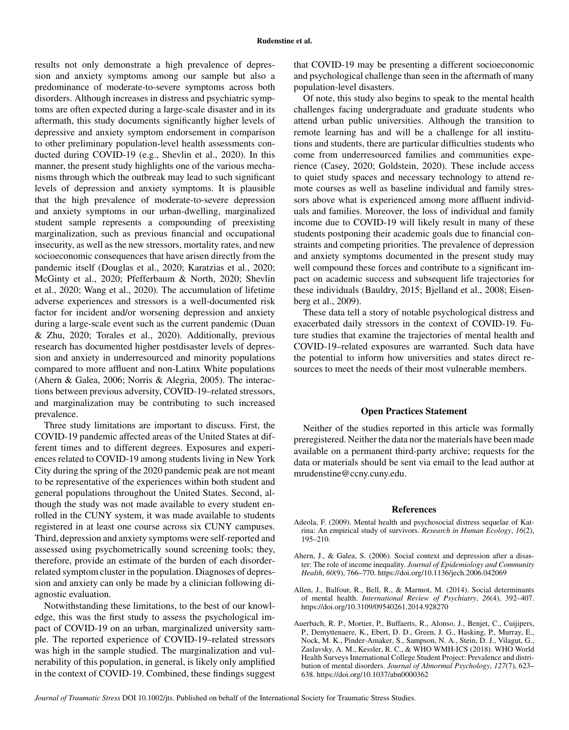results not only demonstrate a high prevalence of depression and anxiety symptoms among our sample but also a predominance of moderate-to-severe symptoms across both disorders. Although increases in distress and psychiatric symptoms are often expected during a large-scale disaster and in its aftermath, this study documents significantly higher levels of depressive and anxiety symptom endorsement in comparison to other preliminary population-level health assessments conducted during COVID-19 (e.g., Shevlin et al., 2020). In this manner, the present study highlights one of the various mechanisms through which the outbreak may lead to such significant levels of depression and anxiety symptoms. It is plausible that the high prevalence of moderate-to-severe depression and anxiety symptoms in our urban-dwelling, marginalized student sample represents a compounding of preexisting marginalization, such as previous financial and occupational insecurity, as well as the new stressors, mortality rates, and new socioeconomic consequences that have arisen directly from the pandemic itself (Douglas et al., 2020; Karatzias et al., 2020; McGinty et al., 2020; Pfefferbaum & North, 2020; Shevlin et al., 2020; Wang et al., 2020). The accumulation of lifetime adverse experiences and stressors is a well-documented risk factor for incident and/or worsening depression and anxiety during a large-scale event such as the current pandemic (Duan & Zhu, 2020; Torales et al., 2020). Additionally, previous research has documented higher postdisaster levels of depression and anxiety in underresourced and minority populations compared to more affluent and non-Latinx White populations (Ahern & Galea, 2006; Norris & Alegria, 2005). The interactions between previous adversity, COVID-19–related stressors, and marginalization may be contributing to such increased prevalence.

Three study limitations are important to discuss. First, the COVID-19 pandemic affected areas of the United States at different times and to different degrees. Exposures and experiences related to COVID-19 among students living in New York City during the spring of the 2020 pandemic peak are not meant to be representative of the experiences within both student and general populations throughout the United States. Second, although the study was not made available to every student enrolled in the CUNY system, it was made available to students registered in at least one course across six CUNY campuses. Third, depression and anxiety symptoms were self-reported and assessed using psychometrically sound screening tools; they, therefore, provide an estimate of the burden of each disorderrelated symptom cluster in the population. Diagnoses of depression and anxiety can only be made by a clinician following diagnostic evaluation.

Notwithstanding these limitations, to the best of our knowledge, this was the first study to assess the psychological impact of COVID-19 on an urban, marginalized university sample. The reported experience of COVID-19–related stressors was high in the sample studied. The marginalization and vulnerability of this population, in general, is likely only amplified in the context of COVID-19. Combined, these findings suggest that COVID-19 may be presenting a different socioeconomic and psychological challenge than seen in the aftermath of many population-level disasters.

Of note, this study also begins to speak to the mental health challenges facing undergraduate and graduate students who attend urban public universities. Although the transition to remote learning has and will be a challenge for all institutions and students, there are particular difficulties students who come from underresourced families and communities experience (Casey, 2020; Goldstein, 2020). These include access to quiet study spaces and necessary technology to attend remote courses as well as baseline individual and family stressors above what is experienced among more affluent individuals and families. Moreover, the loss of individual and family income due to COVID-19 will likely result in many of these students postponing their academic goals due to financial constraints and competing priorities. The prevalence of depression and anxiety symptoms documented in the present study may well compound these forces and contribute to a significant impact on academic success and subsequent life trajectories for these individuals (Bauldry, 2015; Bjelland et al., 2008; Eisenberg et al., 2009).

These data tell a story of notable psychological distress and exacerbated daily stressors in the context of COVID-19. Future studies that examine the trajectories of mental health and COVID-19–related exposures are warranted. Such data have the potential to inform how universities and states direct resources to meet the needs of their most vulnerable members.

#### **Open Practices Statement**

Neither of the studies reported in this article was formally preregistered. Neither the data nor the materials have been made available on a permanent third-party archive; requests for the data or materials should be sent via email to the lead author at mrudenstine@ccny.cuny.edu.

#### **References**

- Adeola, F. (2009). Mental health and psychosocial distress sequelae of Katrina: An empirical study of survivors. *Research in Human Ecology*, *16*(2), 195–210.
- Ahern, J., & Galea, S. (2006). Social context and depression after a disaster: The role of income inequality. *Journal of Epidemiology and Community Health*, *60*(9), 766–770.<https://doi.org/10.1136/jech.2006.042069>
- Allen, J., Balfour, R., Bell, R., & Marmot, M. (2014). Social determinants of mental health. *International Review of Psychiatry*, *26*(4), 392–407. <https://doi.org/10.3109/09540261.2014.928270>
- Auerbach, R. P., Mortier, P., Buffaerts, R., Alonso, J., Benjet, C., Cuijipers, P., Demyttenaere, K., Ebert, D. D., Green, J. G., Hasking, P., Murray, E., Nock, M. K., Pinder-Amaker, S., Sampson, N. A., Stein, D. J., Vilagut, G., Zaslavsky, A. M., Kessler, R. C., & WHO WMH-ICS (2018). WHO World Health Surveys International College Student Project: Prevalence and distribution of mental disorders. *Journal of Abnormal Psychology*, *127*(7), 623– 638.<https://doi.org/10.1037/abn0000362>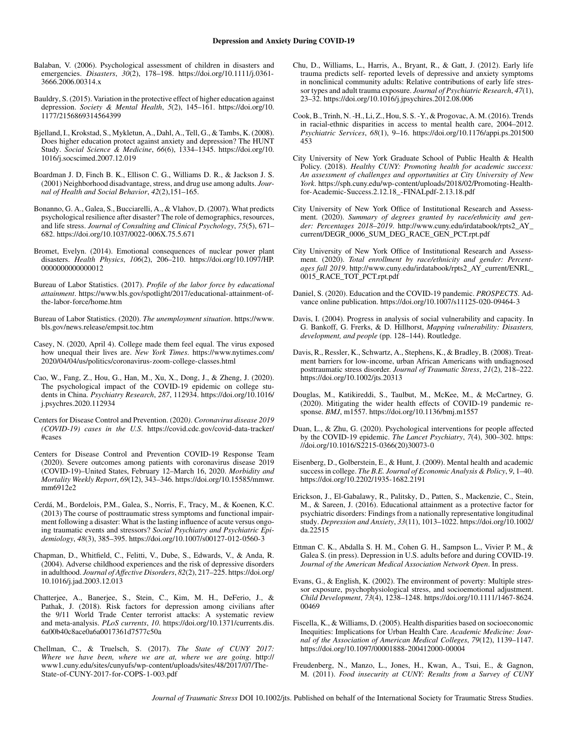- Balaban, V. (2006). Psychological assessment of children in disasters and emergencies. *Disasters*, *30*(2), 178–198. [https://doi.org/10.1111/j.0361-](https://doi.org/10.1111/j.0361-3666.2006.00314.x) [3666.2006.00314.x](https://doi.org/10.1111/j.0361-3666.2006.00314.x)
- Bauldry, S. (2015). Variation in the protective effect of higher education against depression. *Society & Mental Health*, *5*(2), 145–161. [https://doi.org/10.](https://doi.org/10.1177/2156869314564399) [1177/2156869314564399](https://doi.org/10.1177/2156869314564399)
- Bjelland, I., Krokstad, S., Mykletun, A., Dahl, A., Tell, G., & Tambs, K. (2008). Does higher education protect against anxiety and depression? The HUNT Study. *Social Science & Medicine*, *66*(6), 1334–1345. [https://doi.org/10.](https://doi.org/10.1016/j.socscimed.2007.12.019) [1016/j.socscimed.2007.12.019](https://doi.org/10.1016/j.socscimed.2007.12.019)
- Boardman J. D, Finch B. K., Ellison C. G., Williams D. R., & Jackson J. S. (2001) Neighborhood disadvantage, stress, and drug use among adults. *Journal of Health and Social Behavior*, *42*(2),151–165.
- Bonanno, G. A., Galea, S., Bucciarelli, A., & Vlahov, D. (2007). What predicts psychological resilience after disaster? The role of demographics, resources, and life stress. *Journal of Consulting and Clinical Psychology*, *75*(5), 671– 682.<https://doi.org/10.1037/0022-006X.75.5.671>
- Bromet, Evelyn. (2014). Emotional consequences of nuclear power plant disasters. *Health Physics*, *106*(2), 206–210. [https://doi.org/10.1097/HP.](https://doi.org/10.1097/HP.0000000000000012) [0000000000000012](https://doi.org/10.1097/HP.0000000000000012)
- Bureau of Labor Statistics. (2017). *Profile of the labor force by educational attainment*. [https://www.bls.gov/spotlight/2017/educational-attainment-of](https://www.bls.gov/spotlight/2017/educational-attainment-of-the-labor-force/home.htm)[the-labor-force/home.htm](https://www.bls.gov/spotlight/2017/educational-attainment-of-the-labor-force/home.htm)
- Bureau of Labor Statistics. (2020). *The unemployment situation*. [https://www.](https://www.bls.gov/news.release/empsit.toc.htm) [bls.gov/news.release/empsit.toc.htm](https://www.bls.gov/news.release/empsit.toc.htm)
- Casey, N. (2020, April 4). College made them feel equal. The virus exposed how unequal their lives are. *New York Times*. [https://www.nytimes.com/](https://www.nytimes.com/2020/04/04/us/politics/coronavirus-zoom-college-classes.html) [2020/04/04/us/politics/coronavirus-zoom-college-classes.html](https://www.nytimes.com/2020/04/04/us/politics/coronavirus-zoom-college-classes.html)
- Cao, W., Fang, Z., Hou, G., Han, M., Xu, X., Dong, J., & Zheng, J. (2020). The psychological impact of the COVID-19 epidemic on college students in China. *Psychiatry Research*, *287*, 112934. [https://doi.org/10.1016/](https://doi.org/10.1016/j.psychres.2020.112934) [j.psychres.2020.112934](https://doi.org/10.1016/j.psychres.2020.112934)
- Centers for Disease Control and Prevention. (2020*)*. *Coronavirus disease 2019 (COVID-19) cases in the U.S*. [https://covid.cdc.gov/covid-data-tracker/](https://covid.cdc.gov/covid-data-tracker/#cases) [#cases](https://covid.cdc.gov/covid-data-tracker/#cases)
- Centers for Disease Control and Prevention COVID-19 Response Team (2020). Severe outcomes among patients with coronavirus disease 2019 (COVID-19)–United States, February 12–March 16, 2020. *Morbidity and Mortality Weekly Report*, *69*(12), 343–346. [https://doi.org/10.15585/mmwr.](https://doi.org/10.15585/mmwr.mm6912e2) [mm6912e2](https://doi.org/10.15585/mmwr.mm6912e2)
- Cerdá, M., Bordelois, P.M., Galea, S., Norris, F., Tracy, M., & Koenen, K.C. (2013) The course of posttraumatic stress symptoms and functional impairment following a disaster: What is the lasting influence of acute versus ongoing traumatic events and stressors? *Social Psychiatry and Psychiatric Epidemiology*, *48*(3), 385–395.<https://doi.org/10.1007/s00127-012-0560-3>
- Chapman, D., Whitfield, C., Felitti, V., Dube, S., Edwards, V., & Anda, R. (2004). Adverse childhood experiences and the risk of depressive disorders in adulthood. *Journal of Affective Disorders*, *82*(2), 217–225. [https://doi.org/](https://doi.org/10.1016/j.jad.2003.12.013) [10.1016/j.jad.2003.12.013](https://doi.org/10.1016/j.jad.2003.12.013)
- Chatterjee, A., Banerjee, S., Stein, C., Kim, M. H., DeFerio, J., & Pathak, J. (2018). Risk factors for depression among civilians after the 9/11 World Trade Center terrorist attacks: A systematic review and meta-analysis. *PLoS currents*, *10*. [https://doi.org/10.1371/currents.dis.](https://doi.org/10.1371/currents.dis.6a00b40c8ace0a6a0017361d7577c50a) [6a00b40c8ace0a6a0017361d7577c50a](https://doi.org/10.1371/currents.dis.6a00b40c8ace0a6a0017361d7577c50a)
- Chellman, C., & Truelsch, S. (2017). *The State of CUNY 2017: Where we have been, where we are at, where we are going*. [http://](http://www1.cuny.edu/sites/cunyufs/wp-content/uploads/sites/48/2017/07/The-State-of-CUNY-2017-for-COPS-1-003.pdf) [www1.cuny.edu/sites/cunyufs/wp-content/uploads/sites/48/2017/07/The-](http://www1.cuny.edu/sites/cunyufs/wp-content/uploads/sites/48/2017/07/The-State-of-CUNY-2017-for-COPS-1-003.pdf)[State-of-CUNY-2017-for-COPS-1-003.pdf](http://www1.cuny.edu/sites/cunyufs/wp-content/uploads/sites/48/2017/07/The-State-of-CUNY-2017-for-COPS-1-003.pdf)
- Chu, D., Williams, L., Harris, A., Bryant, R., & Gatt, J. (2012). Early life trauma predicts self- reported levels of depressive and anxiety symptoms in nonclinical community adults: Relative contributions of early life stressor types and adult trauma exposure. *Journal of Psychiatric Research*, *47*(1), 23–32.<https://doi.org/10.1016/j.jpsychires.2012.08.006>
- Cook, B., Trinh, N. -H., Li, Z., Hou, S. S. -Y., & Progovac, A. M. (2016). Trends in racial-ethnic disparities in access to mental health care, 2004–2012. *Psychiatric Services*, *68*(1), 9–16. [https://doi.org/10.1176/appi.ps.201500](https://doi.org/10.1176/appi.ps.201500453) [453](https://doi.org/10.1176/appi.ps.201500453)
- City University of New York Graduate School of Public Health & Health Policy. (2018). *Healthy CUNY: Promoting health for academic success: An assessment of challenges and opportunities at City University of New York*. [https://sph.cuny.edu/wp-content/uploads/2018/02/Promoting-Health](https://sph.cuny.edu/wp-content/uploads/2018/02/Promoting-Health-for-Academic-Success.2.12.18_-FINALpdf-2.13.18.pdf)[for-Academic-Success.2.12.18\\_-FINALpdf-2.13.18.pdf](https://sph.cuny.edu/wp-content/uploads/2018/02/Promoting-Health-for-Academic-Success.2.12.18_-FINALpdf-2.13.18.pdf)
- City University of New York Office of Institutional Research and Assessment. (2020). *Summary of degrees granted by race/ethnicity and gender: Percentages 2018–2019*. [http://www.cuny.edu/irdatabook/rpts2\\_AY\\_](http://www.cuny.edu/irdatabook/rpts2_AY_current/DEGR_0006_SUM_DEG_RACE_GEN_PCT.rpt.pdf) [current/DEGR\\_0006\\_SUM\\_DEG\\_RACE\\_GEN\\_PCT.rpt.pdf](http://www.cuny.edu/irdatabook/rpts2_AY_current/DEGR_0006_SUM_DEG_RACE_GEN_PCT.rpt.pdf)
- City University of New York Office of Institutional Research and Assessment. (2020). *Total enrollment by race/ethnicity and gender: Percentages fall 2019*. [http://www.cuny.edu/irdatabook/rpts2\\_AY\\_current/ENRL\\_](http://www.cuny.edu/irdatabook/rpts2_AY_current/ENRL_0015_RACE_TOT_PCT.rpt.pdf) [0015\\_RACE\\_TOT\\_PCT.rpt.pdf](http://www.cuny.edu/irdatabook/rpts2_AY_current/ENRL_0015_RACE_TOT_PCT.rpt.pdf)
- Daniel, S. (2020). Education and the COVID-19 pandemic. *PROSPECTS*. Advance online publication.<https://doi.org/10.1007/s11125-020-09464-3>
- Davis, I. (2004). Progress in analysis of social vulnerability and capacity. In G. Bankoff, G. Frerks, & D. Hillhorst, *Mapping vulnerability: Disasters, development, and people* (pp. 128–144). Routledge.
- Davis, R., Ressler, K., Schwartz, A., Stephens, K., & Bradley, B. (2008). Treatment barriers for low-income, urban African Americans with undiagnosed posttraumatic stress disorder. *Journal of Traumatic Stress*, *21*(2), 218–222. <https://doi.org/10.1002/jts.20313>
- Douglas, M., Katikireddi, S., Taulbut, M., McKee, M., & McCartney, G. (2020). Mitigating the wider health effects of COVID-19 pandemic response. *BMJ*, m1557.<https://doi.org/10.1136/bmj.m1557>
- Duan, L., & Zhu, G. (2020). Psychological interventions for people affected by the COVID-19 epidemic. *The Lancet Psychiatry*, *7*(4), 300–302. [https:](https://doi.org/10.1016/S2215-0366(20)30073-0) [//doi.org/10.1016/S2215-0366\(20\)30073-0](https://doi.org/10.1016/S2215-0366(20)30073-0)
- Eisenberg, D., Golberstein, E., & Hunt, J. (2009). Mental health and academic success in college. *The B.E. Journal of Economic Analysis & Policy*, *9*, 1–40. <https://doi.org/10.2202/1935-1682.2191>
- Erickson, J., El-Gabalawy, R., Palitsky, D., Patten, S., Mackenzie, C., Stein, M., & Sareen, J. (2016). Educational attainment as a protective factor for psychiatric disorders: Findings from a nationally representative longitudinal study. *Depression and Anxiety*, *33*(11), 1013–1022. [https://doi.org/10.1002/](https://doi.org/10.1002/da.22515) [da.22515](https://doi.org/10.1002/da.22515)
- Ettman C. K., Abdalla S. H. M., Cohen G. H., Sampson L., Vivier P. M., & Galea S. (in press). Depression in U.S. adults before and during COVID-19. *Journal of the American Medical Association Network Open*. In press.
- Evans, G., & English, K. (2002). The environment of poverty: Multiple stressor exposure, psychophysiological stress, and socioemotional adjustment. *Child Development*, *73*(4), 1238–1248. [https://doi.org/10.1111/1467-8624.](https://doi.org/10.1111/1467-8624.00469) [00469](https://doi.org/10.1111/1467-8624.00469)
- Fiscella, K., & Williams, D. (2005). Health disparities based on socioeconomic Inequities: Implications for Urban Health Care. *Academic Medicine: Journal of the Association of American Medical Colleges*, *79*(12), 1139–1147. <https://doi.org/10.1097/00001888-200412000-00004>
- Freudenberg, N., Manzo, L., Jones, H., Kwan, A., Tsui, E., & Gagnon, M. (2011). *Food insecurity at CUNY: Results from a Survey of CUNY*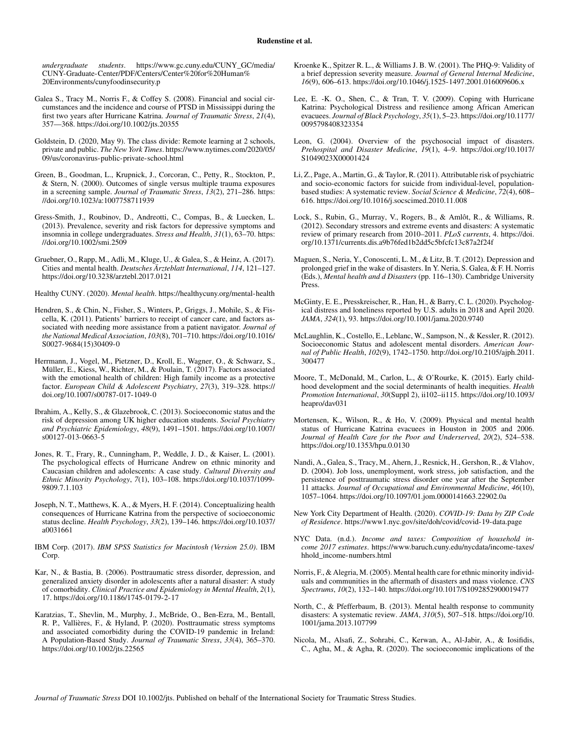*undergraduate students*. [https://www.gc.cuny.edu/CUNY\\_GC/media/](https://www.gc.cuny.edu/CUNY_GC/media/CUNY-Graduate-Center/PDF/Centers/Center%20for%20Human%20Environments/cunyfoodinsecurity.p) [CUNY-Graduate-Center/PDF/Centers/Center%20for%20Human%](https://www.gc.cuny.edu/CUNY_GC/media/CUNY-Graduate-Center/PDF/Centers/Center%20for%20Human%20Environments/cunyfoodinsecurity.p) [20Environments/cunyfoodinsecurity.p](https://www.gc.cuny.edu/CUNY_GC/media/CUNY-Graduate-Center/PDF/Centers/Center%20for%20Human%20Environments/cunyfoodinsecurity.p)

- Galea S., Tracy M., Norris F., & Coffey S. (2008). Financial and social circumstances and the incidence and course of PTSD in Mississippi during the first two years after Hurricane Katrina. *Journal of Traumatic Stress*, *21*(4), 357—368.<https://doi.org/10.1002/jts.20355>
- Goldstein, D. (2020, May 9). The class divide: Remote learning at 2 schools, private and public. *The New York Times*. [https://www.nytimes.com/2020/05/](https://www.nytimes.com/2020/05/09/us/coronavirus-public-private-school.html) [09/us/coronavirus-public-private-school.html](https://www.nytimes.com/2020/05/09/us/coronavirus-public-private-school.html)
- Green, B., Goodman, L., Krupnick, J., Corcoran, C., Petty, R., Stockton, P., & Stern, N. (2000). Outcomes of single versus multiple trauma exposures in a screening sample. *Journal of Traumatic Stress*, *13*(2), 271–286. [https:](https://doi.org/10.1023/a:1007758711939) [//doi.org/10.1023/a:1007758711939](https://doi.org/10.1023/a:1007758711939)
- Gress-Smith, J., Roubinov, D., Andreotti, C., Compas, B., & Luecken, L. (2013). Prevalence, severity and risk factors for depressive symptoms and insomnia in college undergraduates. *Stress and Health*, *31*(1), 63–70. [https:](https://doi.org/10.1002/smi.2509) [//doi.org/10.1002/smi.2509](https://doi.org/10.1002/smi.2509)
- Gruebner, O., Rapp, M., Adli, M., Kluge, U., & Galea, S., & Heinz, A. (2017). Cities and mental health. *Deutsches Ärzteblatt International*, *114*, 121–127. <https://doi.org/10.3238/arztebl.2017.0121>

Healthy CUNY. (2020). *Mental health*.<https://healthycuny.org/mental-health>

- Hendren, S., & Chin, N., Fisher, S., Winters, P., Griggs, J., Mohile, S., & Fiscella, K. (2011). Patients' barriers to receipt of cancer care, and factors associated with needing more assistance from a patient navigator. *Journal of the National Medical Association*, *103*(8), 701–710. [https://doi.org/10.1016/](https://doi.org/10.1016/S0027-9684(15)30409-0) [S0027-9684\(15\)30409-0](https://doi.org/10.1016/S0027-9684(15)30409-0)
- Herrmann, J., Vogel, M., Pietzner, D., Kroll, E., Wagner, O., & Schwarz, S., Müller, E., Kiess, W., Richter, M., & Poulain, T. (2017). Factors associated with the emotional health of children: High family income as a protective factor. *European Child & Adolescent Psychiatry*, *27*(3), 319–328. [https://](https://doi.org/10.1007/s00787-017-1049-0) [doi.org/10.1007/s00787-017-1049-0](https://doi.org/10.1007/s00787-017-1049-0)
- Ibrahim, A., Kelly, S., & Glazebrook, C. (2013). Socioeconomic status and the risk of depression among UK higher education students. *Social Psychiatry and Psychiatric Epidemiology*, *48*(9), 1491–1501. [https://doi.org/10.1007/](https://doi.org/10.1007/s00127-013-0663-5) [s00127-013-0663-5](https://doi.org/10.1007/s00127-013-0663-5)
- Jones, R. T., Frary, R., Cunningham, P., Weddle, J. D., & Kaiser, L. (2001). The psychological effects of Hurricane Andrew on ethnic minority and Caucasian children and adolescents: A case study. *Cultural Diversity and Ethnic Minority Psychology*, *7*(1), 103–108. [https://doi.org/10.1037/1099-](https://doi.org/10.1037/1099-9809.7.1.103) [9809.7.1.103](https://doi.org/10.1037/1099-9809.7.1.103)
- Joseph, N. T., Matthews, K. A., & Myers, H. F. (2014). Conceptualizing health consequences of Hurricane Katrina from the perspective of socioeconomic status decline. *Health Psychology*, *33*(2), 139–146. [https://doi.org/10.1037/](https://doi.org/10.1037/a0031661) [a0031661](https://doi.org/10.1037/a0031661)
- IBM Corp. (2017). *IBM SPSS Statistics for Macintosh (Version 25.0)*. IBM Corp.
- Kar, N., & Bastia, B. (2006). Posttraumatic stress disorder, depression, and generalized anxiety disorder in adolescents after a natural disaster: A study of comorbidity. *Clinical Practice and Epidemiology in Mental Health*, *2*(1), 17.<https://doi.org/10.1186/1745-0179-2-17>
- Karatzias, T., Shevlin, M., Murphy, J., McBride, O., Ben-Ezra, M., Bentall, R. P., Vallières, F., & Hyland, P. (2020). Posttraumatic stress symptoms and associated comorbidity during the COVID-19 pandemic in Ireland: A Population-Based Study. *Journal of Traumatic Stress*, *33*(4), 365–370. <https://doi.org/10.1002/jts.22565>
- Kroenke K., Spitzer R. L., & Williams J. B. W. (2001). The PHQ-9: Validity of a brief depression severity measure. *Journal of General Internal Medicine*, *16*(9), 606–613.<https://doi.org/10.1046/j.1525-1497.2001.016009606.x>
- Lee, E. -K. O., Shen, C., & Tran, T. V. (2009). Coping with Hurricane Katrina: Psychological Distress and resilience among African American evacuees. *Journal of Black Psychology*, *35*(1), 5–23. [https://doi.org/10.1177/](https://doi.org/10.1177/0095798408323354) [0095798408323354](https://doi.org/10.1177/0095798408323354)
- Leon, G. (2004). Overview of the psychosocial impact of disasters. *Prehospital and Disaster Medicine*, *19*(1), 4–9. [https://doi.org/10.1017/](https://doi.org/10.1017/S1049023X00001424) [S1049023X00001424](https://doi.org/10.1017/S1049023X00001424)
- Li, Z., Page, A., Martin, G., & Taylor, R. (2011). Attributable risk of psychiatric and socio-economic factors for suicide from individual-level, populationbased studies: A systematic review. *Social Science & Medicine*, *72*(4), 608– 616.<https://doi.org/10.1016/j.socscimed.2010.11.008>
- Lock, S., Rubin, G., Murray, V., Rogers, B., & Amlôt, R., & Williams, R. (2012). Secondary stressors and extreme events and disasters: A systematic review of primary research from 2010–2011. *PLoS currents*, 4. [https://doi.](https://doi.org/10.1371/currents.dis.a9b76fed1b2dd5c5bfcfc13c87a2f24f) [org/10.1371/currents.dis.a9b76fed1b2dd5c5bfcfc13c87a2f24f](https://doi.org/10.1371/currents.dis.a9b76fed1b2dd5c5bfcfc13c87a2f24f)
- Maguen, S., Neria, Y., Conoscenti, L. M., & Litz, B. T. (2012). Depression and prolonged grief in the wake of disasters. In Y. Neria, S. Galea, & F. H. Norris (Eds.), *Mental health and d Disasters* (pp. 116–130). Cambridge University Press.
- McGinty, E. E., Presskreischer, R., Han, H., & Barry, C. L. (2020). Psychological distress and loneliness reported by U.S. adults in 2018 and April 2020. *JAMA*, *324*(1), 93.<https://doi.org/10.1001/jama.2020.9740>
- McLaughlin, K., Costello, E., Leblanc, W., Sampson, N., & Kessler, R. (2012). Socioeconomic Status and adolescent mental disorders. *American Journal of Public Health*, *102*(9), 1742–1750. [http://doi.org/10.2105/ajph.2011.](http://doi.org/10.2105/ajph.2011.300477) [300477](http://doi.org/10.2105/ajph.2011.300477)
- Moore, T., McDonald, M., Carlon, L., & O'Rourke, K. (2015). Early childhood development and the social determinants of health inequities. *Health Promotion International*, *30*(Suppl 2), ii102–ii115. [https://doi.org/10.1093/](https://doi.org/10.1093/heapro/dav031) [heapro/dav031](https://doi.org/10.1093/heapro/dav031)
- Mortensen, K., Wilson, R., & Ho, V. (2009). Physical and mental health status of Hurricane Katrina evacuees in Houston in 2005 and 2006. *Journal of Health Care for the Poor and Underserved*, *20*(2), 524–538. <https://doi.org/10.1353/hpu.0.0130>
- Nandi, A., Galea, S., Tracy, M., Ahern, J., Resnick, H., Gershon, R., & Vlahov, D. (2004). Job loss, unemployment, work stress, job satisfaction, and the persistence of posttraumatic stress disorder one year after the September 11 attacks. *Journal of Occupational and Environmental Medicine*, *46*(10), 1057–1064.<https://doi.org/10.1097/01.jom.0000141663.22902.0a>
- New York City Department of Health. (2020). *COVID-19: Data by ZIP Code of Residence*.<https://www1.nyc.gov/site/doh/covid/covid-19-data.page>
- NYC Data. (n.d.). *Income and taxes: Composition of household income 2017 estimates*. [https://www.baruch.cuny.edu/nycdata/income-taxes/](https://www.baruch.cuny.edu/nycdata/income-taxes/hhold_income-numbers.html) [hhold\\_income-numbers.html](https://www.baruch.cuny.edu/nycdata/income-taxes/hhold_income-numbers.html)
- Norris, F., & Alegria, M. (2005). Mental health care for ethnic minority individuals and communities in the aftermath of disasters and mass violence. *CNS Spectrums*, *10*(2), 132–140.<https://doi.org/10.1017/S1092852900019477>
- North, C., & Pfefferbaum, B. (2013). Mental health response to community disasters: A systematic review. *JAMA*, *310*(5), 507–518. [https://doi.org/10.](https://doi.org/10.1001/jama.2013.107799) [1001/jama.2013.107799](https://doi.org/10.1001/jama.2013.107799)
- Nicola, M., Alsafi, Z., Sohrabi, C., Kerwan, A., Al-Jabir, A., & Iosifidis, C., Agha, M., & Agha, R. (2020). The socioeconomic implications of the